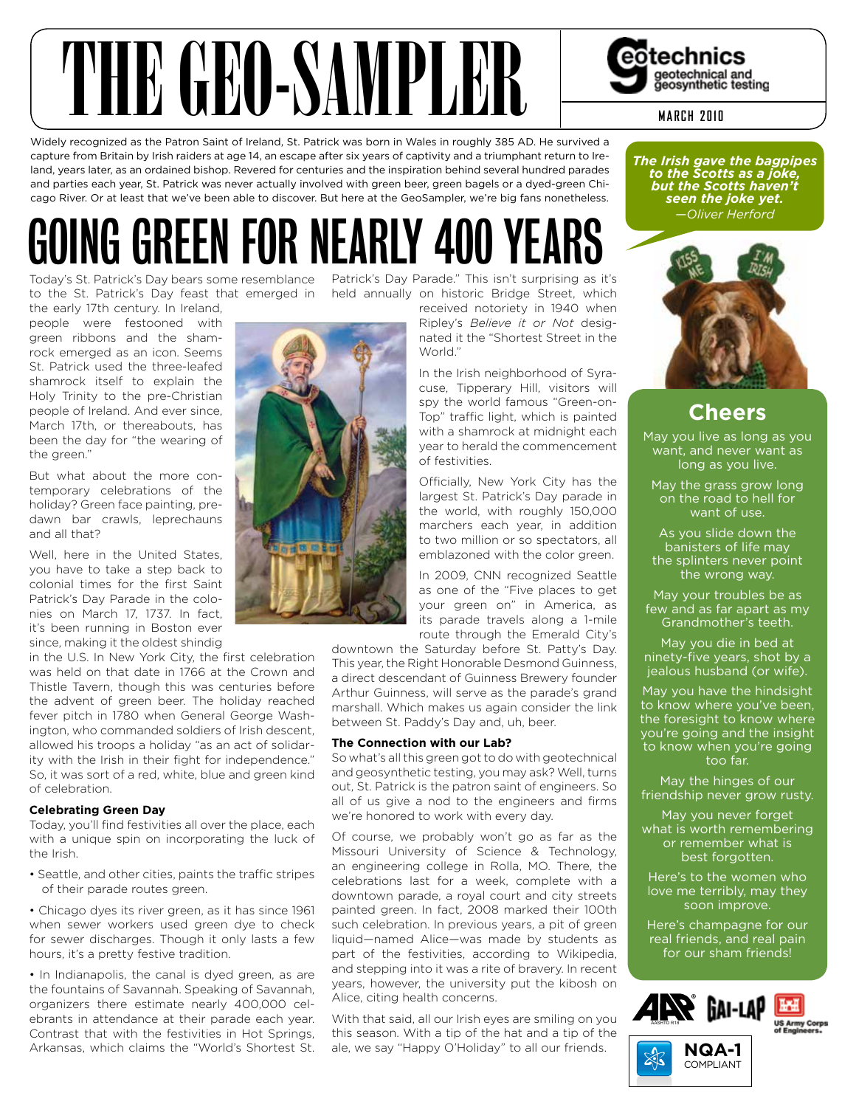

Widely recognized as the Patron Saint of Ireland, St. Patrick was born in Wales in roughly 385 AD. He survived a capture from Britain by Irish raiders at age 14, an escape after six years of captivity and a triumphant return to Ireland, years later, as an ordained bishop. Revered for centuries and the inspiration behind several hundred parades and parties each year, St. Patrick was never actually involved with green beer, green bagels or a dyed-green Chicago River. Or at least that we've been able to discover. But here at the GeoSampler, we're big fans nonetheless.

# GOING GREEN FOR NEARLY 400 YEARS

to the St. Patrick's Day feast that emerged in held annually on historic Bridge Street, which

the early 17th century. In Ireland, people were festooned with green ribbons and the shamrock emerged as an icon. Seems St. Patrick used the three-leafed shamrock itself to explain the Holy Trinity to the pre-Christian people of Ireland. And ever since, March 17th, or thereabouts, has been the day for "the wearing of the green."

But what about the more contemporary celebrations of the holiday? Green face painting, predawn bar crawls, leprechauns and all that?

Well, here in the United States, you have to take a step back to colonial times for the first Saint Patrick's Day Parade in the colonies on March 17, 1737. In fact, it's been running in Boston ever since, making it the oldest shindig

in the U.S. In New York City, the first celebration was held on that date in 1766 at the Crown and Thistle Tavern, though this was centuries before the advent of green beer. The holiday reached fever pitch in 1780 when General George Washington, who commanded soldiers of Irish descent, allowed his troops a holiday "as an act of solidarity with the Irish in their fight for independence." So, it was sort of a red, white, blue and green kind of celebration.

## **Celebrating Green Day**

Today, you'll find festivities all over the place, each with a unique spin on incorporating the luck of the Irish.

• Seattle, and other cities, paints the traffic stripes of their parade routes green.

• Chicago dyes its river green, as it has since 1961 when sewer workers used green dye to check for sewer discharges. Though it only lasts a few hours, it's a pretty festive tradition.

• In Indianapolis, the canal is dyed green, as are the fountains of Savannah. Speaking of Savannah, organizers there estimate nearly 400,000 celebrants in attendance at their parade each year. Contrast that with the festivities in Hot Springs, Arkansas, which claims the "World's Shortest St.

Today's St. Patrick's Day bears some resemblance Patrick's Day Parade." This isn't surprising as it's



received notoriety in 1940 when Ripley's *Believe it or Not* desig-

nated it the "Shortest Street in the World."

In the Irish neighborhood of Syracuse, Tipperary Hill, visitors will spy the world famous "Green-on-Top" traffic light, which is painted with a shamrock at midnight each year to herald the commencement of festivities.

Officially, New York City has the largest St. Patrick's Day parade in the world, with roughly 150,000 marchers each year, in addition to two million or so spectators, all emblazoned with the color green.

In 2009, CNN recognized Seattle as one of the "Five places to get your green on" in America, as its parade travels along a 1-mile route through the Emerald City's

downtown the Saturday before St. Patty's Day. This year, the Right Honorable Desmond Guinness, a direct descendant of Guinness Brewery founder Arthur Guinness, will serve as the parade's grand marshall. Which makes us again consider the link between St. Paddy's Day and, uh, beer.

## **The Connection with our Lab?**

So what's all this green got to do with geotechnical and geosynthetic testing, you may ask? Well, turns out, St. Patrick is the patron saint of engineers. So all of us give a nod to the engineers and firms we're honored to work with every day.

Of course, we probably won't go as far as the Missouri University of Science & Technology, an engineering college in Rolla, MO. There, the celebrations last for a week, complete with a downtown parade, a royal court and city streets painted green. In fact, 2008 marked their 100th such celebration. In previous years, a pit of green liquid—named Alice—was made by students as part of the festivities, according to Wikipedia, and stepping into it was a rite of bravery. In recent years, however, the university put the kibosh on Alice, citing health concerns.

With that said, all our Irish eyes are smiling on you this season. With a tip of the hat and a tip of the ale, we say "Happy O'Holiday" to all our friends.

#### *The Irish gave the bagpipes to the Scotts as a joke, but the Scotts haven't seen the joke yet. —Oliver Herford*



# **Cheers**

May you live as long as you want, and never want as long as you live.

May the grass grow long on the road to hell for want of use.

As you slide down the banisters of life may the splinters never point the wrong way.

May your troubles be as few and as far apart as my Grandmother's teeth.

May you die in bed at ninety-five years, shot by a jealous husband (or wife).

May you have the hindsight to know where you've been, the foresight to know where you're going and the insight to know when you're going too far.

May the hinges of our friendship never grow rusty.

May you never forget what is worth remembering or remember what is best forgotten.

Here's to the women who love me terribly, may they soon improve.

Here's champagne for our real friends, and real pain for our sham friends!